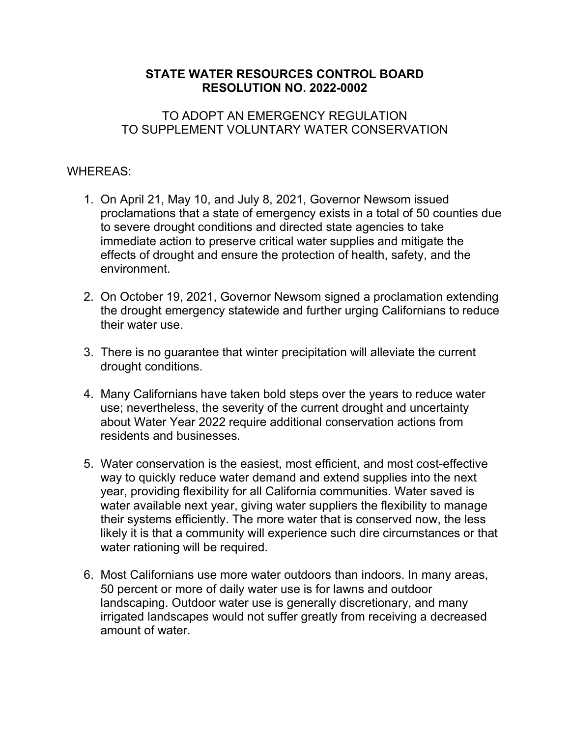## **STATE WATER RESOURCES CONTROL BOARD RESOLUTION NO. 2022-0002**

### TO ADOPT AN EMERGENCY REGULATION TO SUPPLEMENT VOLUNTARY WATER CONSERVATION

### WHEREAS:

- 1. On April 21, May 10, and July 8, 2021, Governor Newsom issued proclamations that a state of emergency exists in a total of 50 counties due to severe drought conditions and directed state agencies to take immediate action to preserve critical water supplies and mitigate the effects of drought and ensure the protection of health, safety, and the environment.
- 2. On October 19, 2021, Governor Newsom signed a proclamation extending the drought emergency statewide and further urging Californians to reduce their water use.
- 3. There is no guarantee that winter precipitation will alleviate the current drought conditions.
- 4. Many Californians have taken bold steps over the years to reduce water use; nevertheless, the severity of the current drought and uncertainty about Water Year 2022 require additional conservation actions from residents and businesses.
- 5. Water conservation is the easiest, most efficient, and most cost-effective way to quickly reduce water demand and extend supplies into the next year, providing flexibility for all California communities. Water saved is water available next year, giving water suppliers the flexibility to manage their systems efficiently. The more water that is conserved now, the less likely it is that a community will experience such dire circumstances or that water rationing will be required.
- 6. Most Californians use more water outdoors than indoors. In many areas, 50 percent or more of daily water use is for lawns and outdoor landscaping. Outdoor water use is generally discretionary, and many irrigated landscapes would not suffer greatly from receiving a decreased amount of water.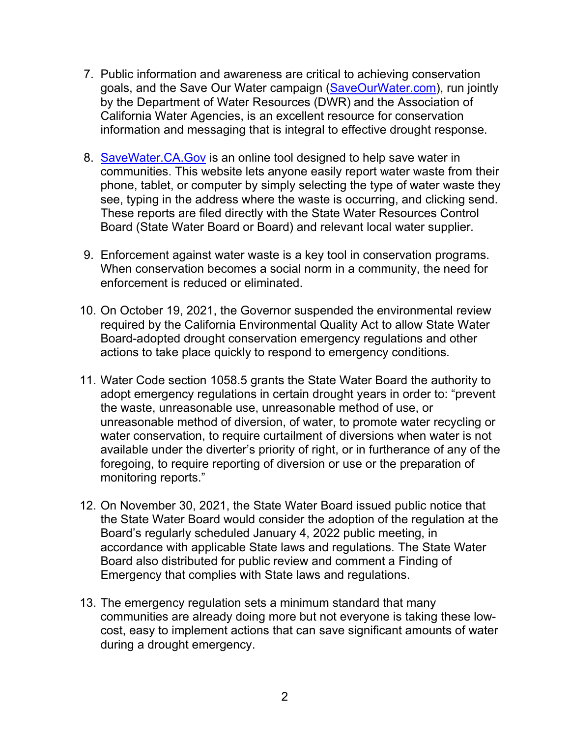- 7. Public information and awareness are critical to achieving conservation goals, and the Save Our Water campaign [\(SaveOurWater.com](http://www.saveourwater.com/)), run jointly by the Department of Water Resources (DWR) and the Association of California Water Agencies, is an excellent resource for conservation information and messaging that is integral to effective drought response.
- 8. [SaveWater.CA.Gov](https://savewater.ca.gov/) is an online tool designed to help save water in communities. This website lets anyone easily report water waste from their phone, tablet, or computer by simply selecting the type of water waste they see, typing in the address where the waste is occurring, and clicking send. These reports are filed directly with the State Water Resources Control Board (State Water Board or Board) and relevant local water supplier.
- 9. Enforcement against water waste is a key tool in conservation programs. When conservation becomes a social norm in a community, the need for enforcement is reduced or eliminated.
- 10. On October 19, 2021, the Governor suspended the environmental review required by the California Environmental Quality Act to allow State Water Board-adopted drought conservation emergency regulations and other actions to take place quickly to respond to emergency conditions.
- 11. Water Code section 1058.5 grants the State Water Board the authority to adopt emergency regulations in certain drought years in order to: "prevent the waste, unreasonable use, unreasonable method of use, or unreasonable method of diversion, of water, to promote water recycling or water conservation, to require curtailment of diversions when water is not available under the diverter's priority of right, or in furtherance of any of the foregoing, to require reporting of diversion or use or the preparation of monitoring reports."
- 12. On November 30, 2021, the State Water Board issued public notice that the State Water Board would consider the adoption of the regulation at the Board's regularly scheduled January 4, 2022 public meeting, in accordance with applicable State laws and regulations. The State Water Board also distributed for public review and comment a Finding of Emergency that complies with State laws and regulations.
- 13. The emergency regulation sets a minimum standard that many communities are already doing more but not everyone is taking these lowcost, easy to implement actions that can save significant amounts of water during a drought emergency.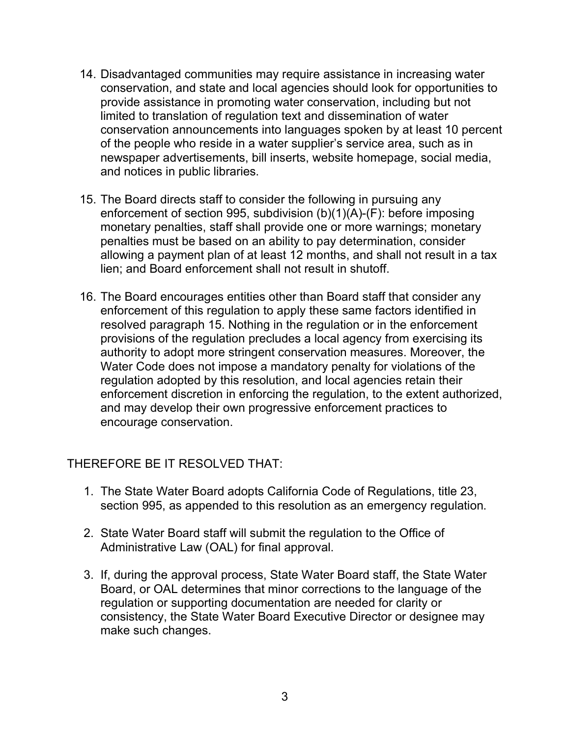- 14. Disadvantaged communities may require assistance in increasing water conservation, and state and local agencies should look for opportunities to provide assistance in promoting water conservation, including but not limited to translation of regulation text and dissemination of water conservation announcements into languages spoken by at least 10 percent of the people who reside in a water supplier's service area, such as in newspaper advertisements, bill inserts, website homepage, social media, and notices in public libraries.
- 15. The Board directs staff to consider the following in pursuing any enforcement of section 995, subdivision (b)(1)(A)-(F): before imposing monetary penalties, staff shall provide one or more warnings; monetary penalties must be based on an ability to pay determination, consider allowing a payment plan of at least 12 months, and shall not result in a tax lien; and Board enforcement shall not result in shutoff.
- 16. The Board encourages entities other than Board staff that consider any enforcement of this regulation to apply these same factors identified in resolved paragraph 15. Nothing in the regulation or in the enforcement provisions of the regulation precludes a local agency from exercising its authority to adopt more stringent conservation measures. Moreover, the Water Code does not impose a mandatory penalty for violations of the regulation adopted by this resolution, and local agencies retain their enforcement discretion in enforcing the regulation, to the extent authorized, and may develop their own progressive enforcement practices to encourage conservation.

# THEREFORE BE IT RESOLVED THAT:

- 1. The State Water Board adopts California Code of Regulations, title 23, section 995, as appended to this resolution as an emergency regulation.
- 2. State Water Board staff will submit the regulation to the Office of Administrative Law (OAL) for final approval.
- 3. If, during the approval process, State Water Board staff, the State Water Board, or OAL determines that minor corrections to the language of the regulation or supporting documentation are needed for clarity or consistency, the State Water Board Executive Director or designee may make such changes.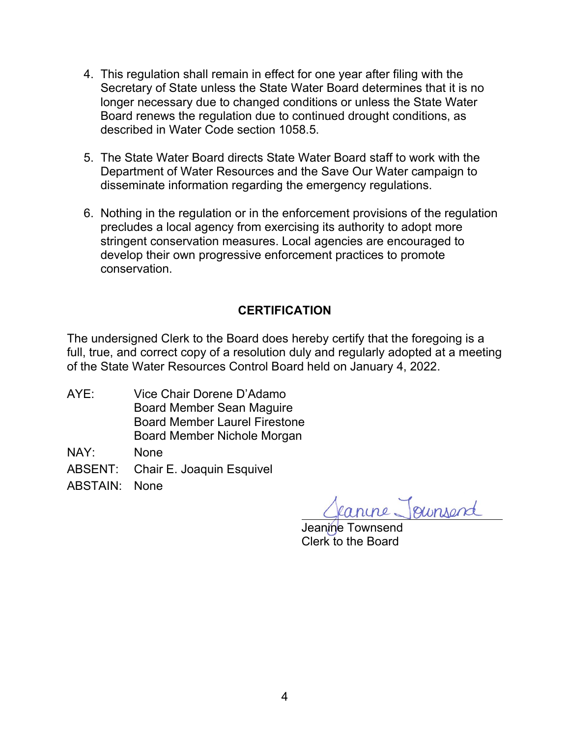- 4. This regulation shall remain in effect for one year after filing with the Secretary of State unless the State Water Board determines that it is no longer necessary due to changed conditions or unless the State Water Board renews the regulation due to continued drought conditions, as described in Water Code section 1058.5.
- 5. The State Water Board directs State Water Board staff to work with the Department of Water Resources and the Save Our Water campaign to disseminate information regarding the emergency regulations.
- 6. Nothing in the regulation or in the enforcement provisions of the regulation precludes a local agency from exercising its authority to adopt more stringent conservation measures. Local agencies are encouraged to develop their own progressive enforcement practices to promote conservation.

# **CERTIFICATION**

The undersigned Clerk to the Board does hereby certify that the foregoing is a full, true, and correct copy of a resolution duly and regularly adopted at a meeting of the State Water Resources Control Board held on January 4, 2022.

AYE: Vice Chair Dorene D'Adamo Board Member Sean Maguire Board Member Laurel Firestone Board Member Nichole Morgan

NAY: None

ABSENT: Chair E. Joaquin Esquivel

ABSTAIN: None

fanine Joursend

Jeanine Townsend Clerk to the Board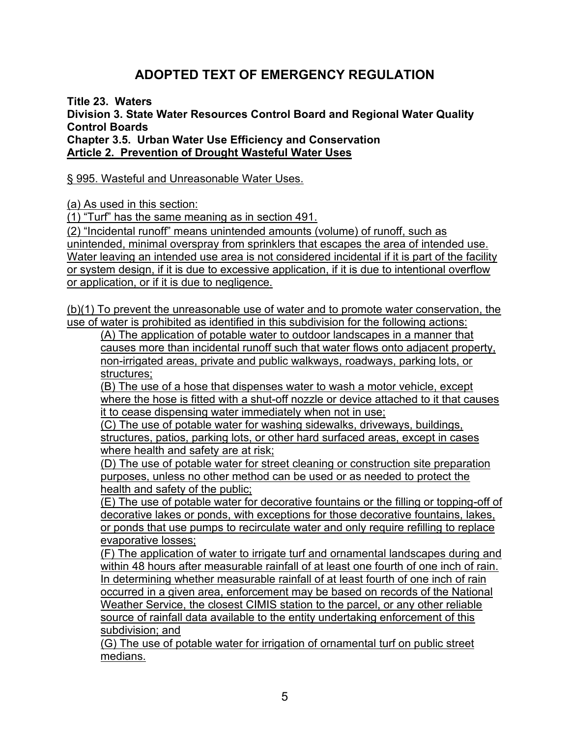# **ADOPTED TEXT OF EMERGENCY REGULATION**

**Title 23. Waters**

**Division 3. State Water Resources Control Board and Regional Water Quality Control Boards**

**Chapter 3.5. Urban Water Use Efficiency and Conservation Article 2. Prevention of Drought Wasteful Water Uses**

§ 995. Wasteful and Unreasonable Water Uses.

(a) As used in this section:

(1) "Turf" has the same meaning as in section 491.

(2) "Incidental runoff" means unintended amounts (volume) of runoff, such as unintended, minimal overspray from sprinklers that escapes the area of intended use. Water leaving an intended use area is not considered incidental if it is part of the facility or system design, if it is due to excessive application, if it is due to intentional overflow or application, or if it is due to negligence.

(b)(1) To prevent the unreasonable use of water and to promote water conservation, the use of water is prohibited as identified in this subdivision for the following actions:

(A) The application of potable water to outdoor landscapes in a manner that causes more than incidental runoff such that water flows onto adjacent property, non-irrigated areas, private and public walkways, roadways, parking lots, or structures;

(B) The use of a hose that dispenses water to wash a motor vehicle, except where the hose is fitted with a shut-off nozzle or device attached to it that causes it to cease dispensing water immediately when not in use;

(C) The use of potable water for washing sidewalks, driveways, buildings, structures, patios, parking lots, or other hard surfaced areas, except in cases where health and safety are at risk;

(D) The use of potable water for street cleaning or construction site preparation purposes, unless no other method can be used or as needed to protect the health and safety of the public;

 $\overline{E}$ ) The use of potable water for decorative fountains or the filling or topping-off of decorative lakes or ponds, with exceptions for those decorative fountains, lakes, or ponds that use pumps to recirculate water and only require refilling to replace evaporative losses;

(F) The application of water to irrigate turf and ornamental landscapes during and within 48 hours after measurable rainfall of at least one fourth of one inch of rain. In determining whether measurable rainfall of at least fourth of one inch of rain occurred in a given area, enforcement may be based on records of the National Weather Service, the closest CIMIS station to the parcel, or any other reliable source of rainfall data available to the entity undertaking enforcement of this subdivision; and

(G) The use of potable water for irrigation of ornamental turf on public street medians.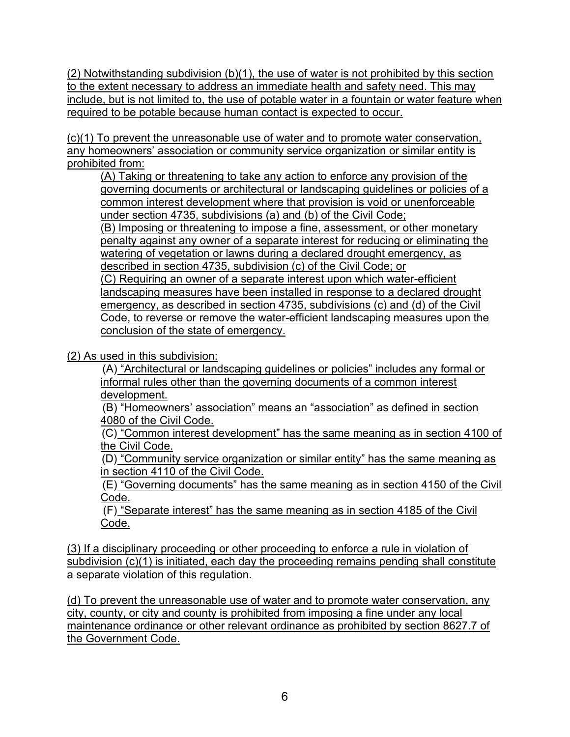(2) Notwithstanding subdivision (b)(1), the use of water is not prohibited by this section to the extent necessary to address an immediate health and safety need. This may include, but is not limited to, the use of potable water in a fountain or water feature when required to be potable because human contact is expected to occur.

(c)(1) To prevent the unreasonable use of water and to promote water conservation, any homeowners' association or community service organization or similar entity is prohibited from:

(A) Taking or threatening to take any action to enforce any provision of the governing documents or architectural or landscaping guidelines or policies of a common interest development where that provision is void or unenforceable under section 4735, subdivisions (a) and (b) of the Civil Code; (B) Imposing or threatening to impose a fine, assessment, or other monetary penalty against any owner of a separate interest for reducing or eliminating the watering of vegetation or lawns during a declared drought emergency, as described in section 4735, subdivision (c) of the Civil Code; or (C) Requiring an owner of a separate interest upon which water-efficient landscaping measures have been installed in response to a declared drought emergency, as described in section 4735, subdivisions (c) and (d) of the Civil Code, to reverse or remove the water-efficient landscaping measures upon the conclusion of the state of emergency.

(2) As used in this subdivision:

(A) "Architectural or landscaping guidelines or policies" includes any formal or informal rules other than the governing documents of a common interest development.

(B) "Homeowners' association" means an "association" as defined in section 4080 of the Civil Code.

(C) "Common interest development" has the same meaning as in section 4100 of the Civil Code.

(D) "Community service organization or similar entity" has the same meaning as in section 4110 of the Civil Code.

(E) "Governing documents" has the same meaning as in section 4150 of the Civil Code.

(F) "Separate interest" has the same meaning as in section 4185 of the Civil Code.

(3) If a disciplinary proceeding or other proceeding to enforce a rule in violation of subdivision (c)(1) is initiated, each day the proceeding remains pending shall constitute a separate violation of this regulation.

(d) To prevent the unreasonable use of water and to promote water conservation, any city, county, or city and county is prohibited from imposing a fine under any local maintenance ordinance or other relevant ordinance as prohibited by section 8627.7 of the Government Code.